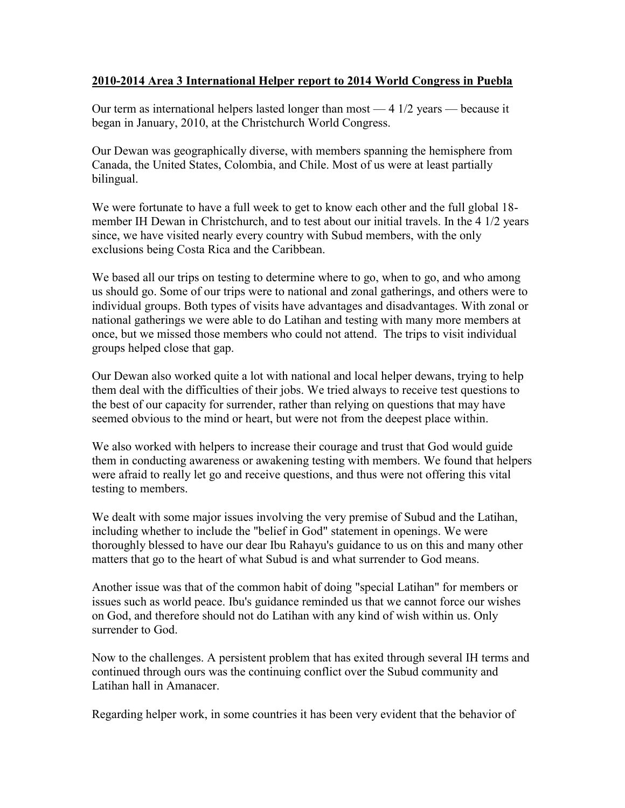## **2010-2014 Area 3 International Helper report to 2014 World Congress in Puebla**

Our term as international helpers lasted longer than most — 4 1/2 years — because it began in January, 2010, at the Christchurch World Congress.

Our Dewan was geographically diverse, with members spanning the hemisphere from Canada, the United States, Colombia, and Chile. Most of us were at least partially bilingual.

We were fortunate to have a full week to get to know each other and the full global 18 member IH Dewan in Christchurch, and to test about our initial travels. In the 4 1/2 years since, we have visited nearly every country with Subud members, with the only exclusions being Costa Rica and the Caribbean.

We based all our trips on testing to determine where to go, when to go, and who among us should go. Some of our trips were to national and zonal gatherings, and others were to individual groups. Both types of visits have advantages and disadvantages. With zonal or national gatherings we were able to do Latihan and testing with many more members at once, but we missed those members who could not attend. The trips to visit individual groups helped close that gap.

Our Dewan also worked quite a lot with national and local helper dewans, trying to help them deal with the difficulties of their jobs. We tried always to receive test questions to the best of our capacity for surrender, rather than relying on questions that may have seemed obvious to the mind or heart, but were not from the deepest place within.

We also worked with helpers to increase their courage and trust that God would guide them in conducting awareness or awakening testing with members. We found that helpers were afraid to really let go and receive questions, and thus were not offering this vital testing to members.

We dealt with some major issues involving the very premise of Subud and the Latihan, including whether to include the "belief in God" statement in openings. We were thoroughly blessed to have our dear Ibu Rahayu's guidance to us on this and many other matters that go to the heart of what Subud is and what surrender to God means.

Another issue was that of the common habit of doing "special Latihan" for members or issues such as world peace. Ibu's guidance reminded us that we cannot force our wishes on God, and therefore should not do Latihan with any kind of wish within us. Only surrender to God.

Now to the challenges. A persistent problem that has exited through several IH terms and continued through ours was the continuing conflict over the Subud community and Latihan hall in Amanacer.

Regarding helper work, in some countries it has been very evident that the behavior of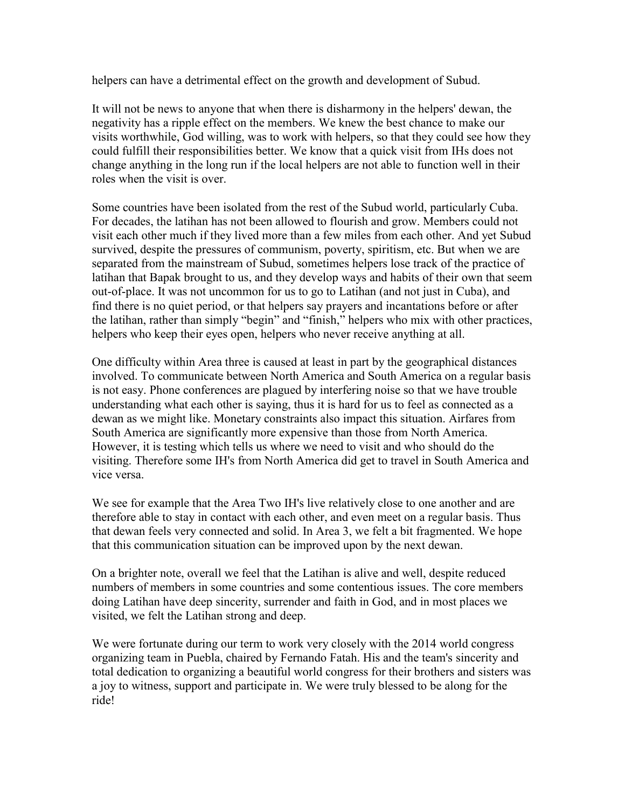helpers can have a detrimental effect on the growth and development of Subud.

It will not be news to anyone that when there is disharmony in the helpers' dewan, the negativity has a ripple effect on the members. We knew the best chance to make our visits worthwhile, God willing, was to work with helpers, so that they could see how they could fulfill their responsibilities better. We know that a quick visit from IHs does not change anything in the long run if the local helpers are not able to function well in their roles when the visit is over.

Some countries have been isolated from the rest of the Subud world, particularly Cuba. For decades, the latihan has not been allowed to flourish and grow. Members could not visit each other much if they lived more than a few miles from each other. And yet Subud survived, despite the pressures of communism, poverty, spiritism, etc. But when we are separated from the mainstream of Subud, sometimes helpers lose track of the practice of latihan that Bapak brought to us, and they develop ways and habits of their own that seem out-of-place. It was not uncommon for us to go to Latihan (and not just in Cuba), and find there is no quiet period, or that helpers say prayers and incantations before or after the latihan, rather than simply "begin" and "finish," helpers who mix with other practices, helpers who keep their eyes open, helpers who never receive anything at all.

One difficulty within Area three is caused at least in part by the geographical distances involved. To communicate between North America and South America on a regular basis is not easy. Phone conferences are plagued by interfering noise so that we have trouble understanding what each other is saying, thus it is hard for us to feel as connected as a dewan as we might like. Monetary constraints also impact this situation. Airfares from South America are significantly more expensive than those from North America. However, it is testing which tells us where we need to visit and who should do the visiting. Therefore some IH's from North America did get to travel in South America and vice versa.

We see for example that the Area Two IH's live relatively close to one another and are therefore able to stay in contact with each other, and even meet on a regular basis. Thus that dewan feels very connected and solid. In Area 3, we felt a bit fragmented. We hope that this communication situation can be improved upon by the next dewan.

On a brighter note, overall we feel that the Latihan is alive and well, despite reduced numbers of members in some countries and some contentious issues. The core members doing Latihan have deep sincerity, surrender and faith in God, and in most places we visited, we felt the Latihan strong and deep.

We were fortunate during our term to work very closely with the 2014 world congress organizing team in Puebla, chaired by Fernando Fatah. His and the team's sincerity and total dedication to organizing a beautiful world congress for their brothers and sisters was a joy to witness, support and participate in. We were truly blessed to be along for the ride!